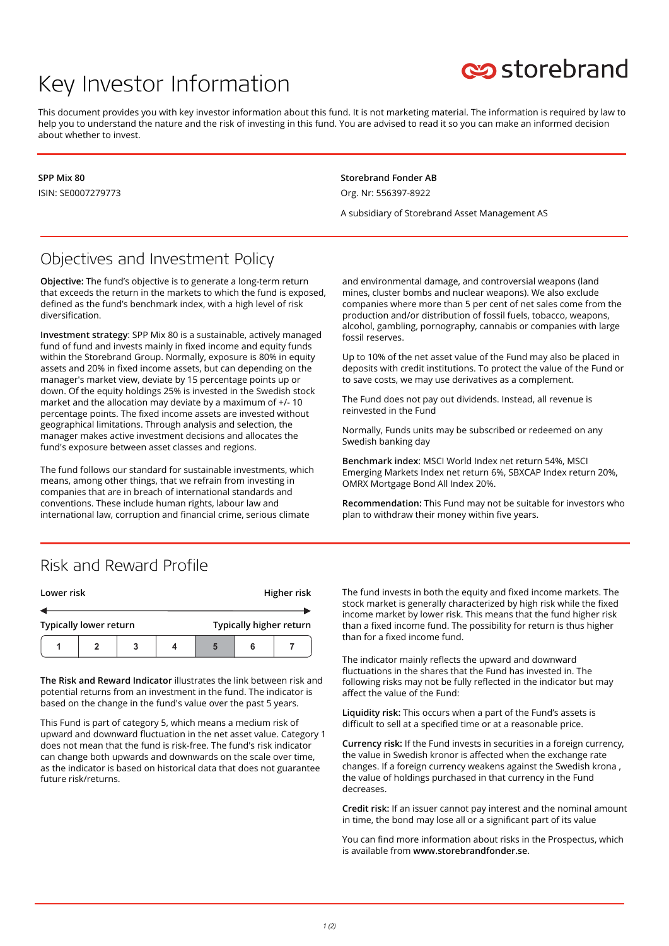# Key Investor Information



This document provides you with key investor information about this fund. It is not marketing material. The information is required by law to help you to understand the nature and the risk of investing in this fund. You are advised to read it so you can make an informed decision about whether to invest.

**SPP Mix 80** ISIN: SE0007279773 **Storebrand Fonder AB** Org. Nr: 556397-8922

A subsidiary of Storebrand Asset Management AS

#### Objectives and Investment Policy

**Objective:** The fund's objective is to generate a long-term return that exceeds the return in the markets to which the fund is exposed, defined as the fund's benchmark index, with a high level of risk diversification.

**Investment strategy**: SPP Mix 80 is a sustainable, actively managed fund of fund and invests mainly in fixed income and equity funds within the Storebrand Group. Normally, exposure is 80% in equity assets and 20% in fixed income assets, but can depending on the manager's market view, deviate by 15 percentage points up or down. Of the equity holdings 25% is invested in the Swedish stock market and the allocation may deviate by a maximum of +/- 10 percentage points. The fixed income assets are invested without geographical limitations. Through analysis and selection, the manager makes active investment decisions and allocates the fund's exposure between asset classes and regions.

The fund follows our standard for sustainable investments, which means, among other things, that we refrain from investing in companies that are in breach of international standards and conventions. These include human rights, labour law and international law, corruption and financial crime, serious climate

and environmental damage, and controversial weapons (land mines, cluster bombs and nuclear weapons). We also exclude companies where more than 5 per cent of net sales come from the production and/or distribution of fossil fuels, tobacco, weapons, alcohol, gambling, pornography, cannabis or companies with large fossil reserves.

Up to 10% of the net asset value of the Fund may also be placed in deposits with credit institutions. To protect the value of the Fund or to save costs, we may use derivatives as a complement.

The Fund does not pay out dividends. Instead, all revenue is reinvested in the Fund

Normally, Funds units may be subscribed or redeemed on any Swedish banking day

**Benchmark index**: MSCI World Index net return 54%, MSCI Emerging Markets Index net return 6%, SBXCAP Index return 20%, OMRX Mortgage Bond All Index 20%.

**Recommendation:** This Fund may not be suitable for investors who plan to withdraw their money within five years.

#### Risk and Reward Profile

| Lower risk                    |  |  |  | Higher risk             |  |  |
|-------------------------------|--|--|--|-------------------------|--|--|
|                               |  |  |  |                         |  |  |
| <b>Typically lower return</b> |  |  |  | Typically higher return |  |  |
|                               |  |  |  |                         |  |  |

**The Risk and Reward Indicator** illustrates the link between risk and potential returns from an investment in the fund. The indicator is based on the change in the fund's value over the past 5 years.

This Fund is part of category 5, which means a medium risk of upward and downward fluctuation in the net asset value. Category 1 does not mean that the fund is risk-free. The fund's risk indicator can change both upwards and downwards on the scale over time, as the indicator is based on historical data that does not guarantee future risk/returns.

The fund invests in both the equity and fixed income markets. The stock market is generally characterized by high risk while the fixed income market by lower risk. This means that the fund higher risk than a fixed income fund. The possibility for return is thus higher than for a fixed income fund.

The indicator mainly reflects the upward and downward fluctuations in the shares that the Fund has invested in. The following risks may not be fully reflected in the indicator but may affect the value of the Fund:

**Liquidity risk:** This occurs when a part of the Fund's assets is difficult to sell at a specified time or at a reasonable price.

**Currency risk:** If the Fund invests in securities in a foreign currency, the value in Swedish kronor is affected when the exchange rate changes. If a foreign currency weakens against the Swedish krona , the value of holdings purchased in that currency in the Fund decreases.

**Credit risk:** If an issuer cannot pay interest and the nominal amount in time, the bond may lose all or a significant part of its value

You can find more information about risks in the Prospectus, which is available from **www.storebrandfonder.se**.